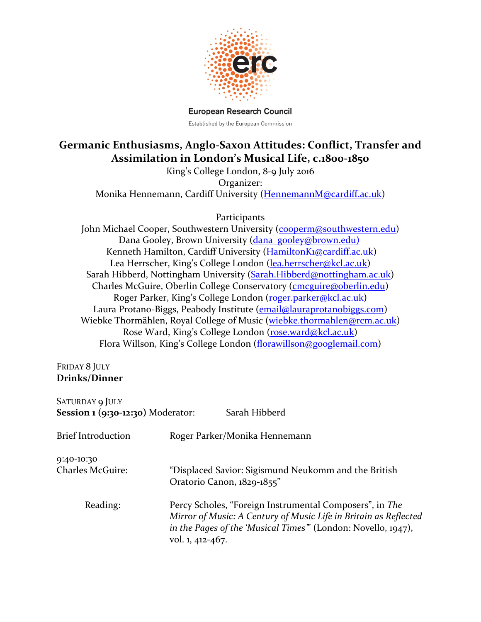

**European Research Council** Established by the European Commission

## Germanic Enthusiasms, Anglo-Saxon Attitudes: Conflict, Transfer and Assimilation in London's Musical Life, c.1800-1850

King's College London, 8-9 July 2016 Organizer: Monika Hennemann, Cardiff University (HennemannM@cardiff.ac.uk)

**Participants** 

John Michael Cooper, Southwestern University (cooperm@southwestern.edu) Dana Gooley, Brown University (dana\_gooley@brown.edu) Kenneth Hamilton, Cardiff University (HamiltonK1@cardiff.ac.uk) Lea Herrscher, King's College London (lea.herrscher@kcl.ac.uk) Sarah Hibberd, Nottingham University (Sarah.Hibberd@nottingham.ac.uk) Charles McGuire, Oberlin College Conservatory (cmcguire@oberlin.edu) Roger Parker, King's College London (roger.parker@kcl.ac.uk) Laura Protano-Biggs, Peabody Institute (email@lauraprotanobiggs.com) Wiebke Thormählen, Royal College of Music (wiebke.thormahlen@rcm.ac.uk) Rose Ward, King's College London (rose.ward@kcl.ac.uk) Flora Willson, King's College London (florawillson@googlemail.com)

## FRIDAY 8 JULY **Drinks/Dinner**

| SATURDAY 9 JULY<br>Session $\mathbf 1$ (9:30-12:30) Moderator: | Sarah Hibberd                                                                                                                                                                                                   |
|----------------------------------------------------------------|-----------------------------------------------------------------------------------------------------------------------------------------------------------------------------------------------------------------|
| <b>Brief Introduction</b>                                      | Roger Parker/Monika Hennemann                                                                                                                                                                                   |
| 9:40-10:30<br><b>Charles McGuire:</b>                          | "Displaced Savior: Sigismund Neukomm and the British<br>Oratorio Canon, 1829-1855"                                                                                                                              |
| Reading:                                                       | Percy Scholes, "Foreign Instrumental Composers", in The<br>Mirror of Music: A Century of Music Life in Britain as Reflected<br>in the Pages of the 'Musical Times" (London: Novello, 1947),<br>vol. 1, 412-467. |